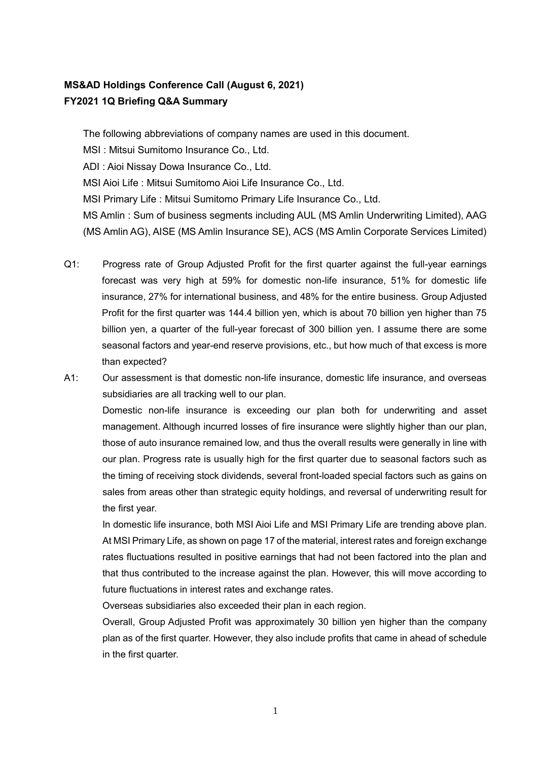## **MS&AD Holdings Conference Call (August 6, 2021) FY2021 1Q Briefing Q&A Summary**

The following abbreviations of company names are used in this document. MSI : Mitsui Sumitomo Insurance Co., Ltd. ADI : Aioi Nissay Dowa Insurance Co., Ltd. MSI Aioi Life : Mitsui Sumitomo Aioi Life Insurance Co., Ltd. MSI Primary Life : Mitsui Sumitomo Primary Life Insurance Co., Ltd. MS Amlin : Sum of business segments including AUL (MS Amlin Underwriting Limited), AAG (MS Amlin AG), AISE (MS Amlin Insurance SE), ACS (MS Amlin Corporate Services Limited)

Q1: Progress rate of Group Adjusted Profit for the first quarter against the full-year earnings forecast was very high at 59% for domestic non-life insurance, 51% for domestic life insurance, 27% for international business, and 48% for the entire business. Group Adjusted Profit for the first quarter was 144.4 billion yen, which is about 70 billion yen higher than 75 billion yen, a quarter of the full-year forecast of 300 billion yen. I assume there are some seasonal factors and year-end reserve provisions, etc., but how much of that excess is more than expected?

A1: Our assessment is that domestic non-life insurance, domestic life insurance, and overseas subsidiaries are all tracking well to our plan.

Domestic non-life insurance is exceeding our plan both for underwriting and asset management. Although incurred losses of fire insurance were slightly higher than our plan, those of auto insurance remained low, and thus the overall results were generally in line with our plan. Progress rate is usually high for the first quarter due to seasonal factors such as the timing of receiving stock dividends, several front-loaded special factors such as gains on sales from areas other than strategic equity holdings, and reversal of underwriting result for the first year.

In domestic life insurance, both MSI Aioi Life and MSI Primary Life are trending above plan. At MSI Primary Life, as shown on page 17 of the material, interest rates and foreign exchange rates fluctuations resulted in positive earnings that had not been factored into the plan and that thus contributed to the increase against the plan. However, this will move according to future fluctuations in interest rates and exchange rates.

Overseas subsidiaries also exceeded their plan in each region.

Overall, Group Adjusted Profit was approximately 30 billion yen higher than the company plan as of the first quarter. However, they also include profits that came in ahead of schedule in the first quarter.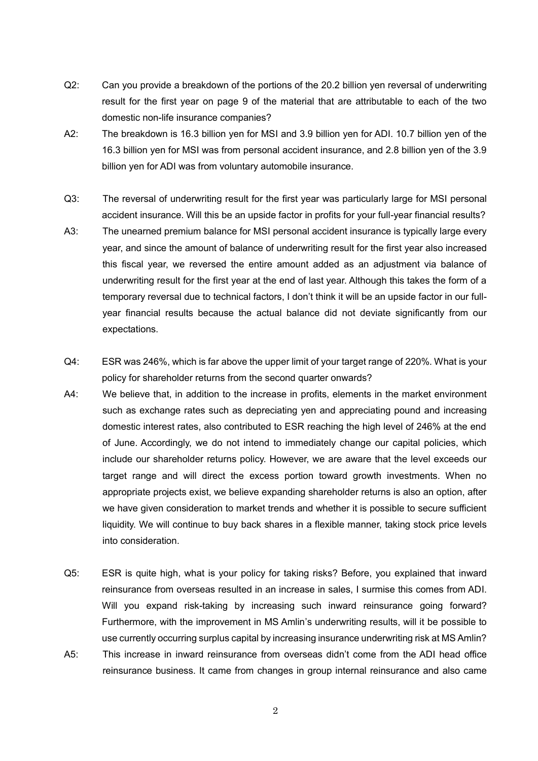- Q2: Can you provide a breakdown of the portions of the 20.2 billion yen reversal of underwriting result for the first year on page 9 of the material that are attributable to each of the two domestic non-life insurance companies?
- A2: The breakdown is 16.3 billion yen for MSI and 3.9 billion yen for ADI. 10.7 billion yen of the 16.3 billion yen for MSI was from personal accident insurance, and 2.8 billion yen of the 3.9 billion yen for ADI was from voluntary automobile insurance.
- Q3: The reversal of underwriting result for the first year was particularly large for MSI personal accident insurance. Will this be an upside factor in profits for your full-year financial results?
- A3: The unearned premium balance for MSI personal accident insurance is typically large every year, and since the amount of balance of underwriting result for the first year also increased this fiscal year, we reversed the entire amount added as an adjustment via balance of underwriting result for the first year at the end of last year. Although this takes the form of a temporary reversal due to technical factors, I don't think it will be an upside factor in our fullyear financial results because the actual balance did not deviate significantly from our expectations.
- Q4: ESR was 246%, which is far above the upper limit of your target range of 220%. What is your policy for shareholder returns from the second quarter onwards?
- A4: We believe that, in addition to the increase in profits, elements in the market environment such as exchange rates such as depreciating yen and appreciating pound and increasing domestic interest rates, also contributed to ESR reaching the high level of 246% at the end of June. Accordingly, we do not intend to immediately change our capital policies, which include our shareholder returns policy. However, we are aware that the level exceeds our target range and will direct the excess portion toward growth investments. When no appropriate projects exist, we believe expanding shareholder returns is also an option, after we have given consideration to market trends and whether it is possible to secure sufficient liquidity. We will continue to buy back shares in a flexible manner, taking stock price levels into consideration.
- Q5: ESR is quite high, what is your policy for taking risks? Before, you explained that inward reinsurance from overseas resulted in an increase in sales, I surmise this comes from ADI. Will you expand risk-taking by increasing such inward reinsurance going forward? Furthermore, with the improvement in MS Amlin's underwriting results, will it be possible to use currently occurring surplus capital by increasing insurance underwriting risk at MS Amlin? A5: This increase in inward reinsurance from overseas didn't come from the ADI head office
	- reinsurance business. It came from changes in group internal reinsurance and also came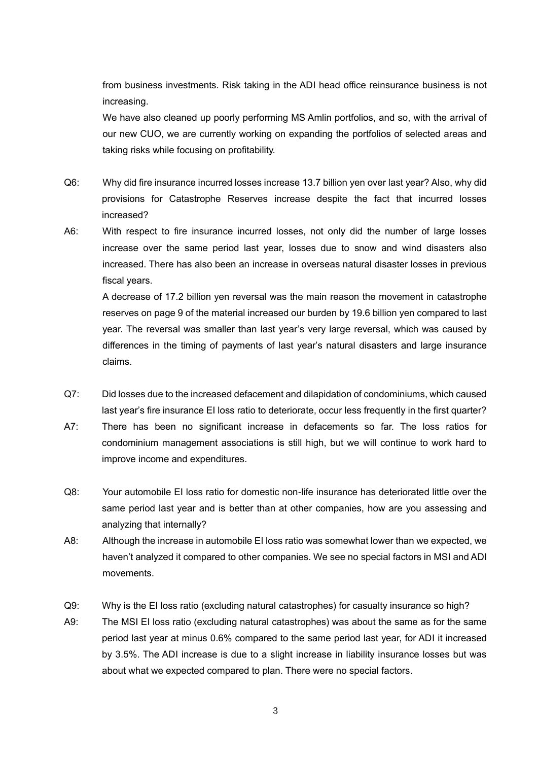from business investments. Risk taking in the ADI head office reinsurance business is not increasing.

We have also cleaned up poorly performing MS Amlin portfolios, and so, with the arrival of our new CUO, we are currently working on expanding the portfolios of selected areas and taking risks while focusing on profitability.

- Q6: Why did fire insurance incurred losses increase 13.7 billion yen over last year? Also, why did provisions for Catastrophe Reserves increase despite the fact that incurred losses increased?
- A6: With respect to fire insurance incurred losses, not only did the number of large losses increase over the same period last year, losses due to snow and wind disasters also increased. There has also been an increase in overseas natural disaster losses in previous fiscal years.

A decrease of 17.2 billion yen reversal was the main reason the movement in catastrophe reserves on page 9 of the material increased our burden by 19.6 billion yen compared to last year. The reversal was smaller than last year's very large reversal, which was caused by differences in the timing of payments of last year's natural disasters and large insurance claims.

- Q7: Did losses due to the increased defacement and dilapidation of condominiums, which caused last year's fire insurance EI loss ratio to deteriorate, occur less frequently in the first quarter?
- A7: There has been no significant increase in defacements so far. The loss ratios for condominium management associations is still high, but we will continue to work hard to improve income and expenditures.
- Q8: Your automobile EI loss ratio for domestic non-life insurance has deteriorated little over the same period last year and is better than at other companies, how are you assessing and analyzing that internally?
- A8: Although the increase in automobile EI loss ratio was somewhat lower than we expected, we haven't analyzed it compared to other companies. We see no special factors in MSI and ADI movements.
- Q9: Why is the EI loss ratio (excluding natural catastrophes) for casualty insurance so high?
- A9: The MSI EI loss ratio (excluding natural catastrophes) was about the same as for the same period last year at minus 0.6% compared to the same period last year, for ADI it increased by 3.5%. The ADI increase is due to a slight increase in liability insurance losses but was about what we expected compared to plan. There were no special factors.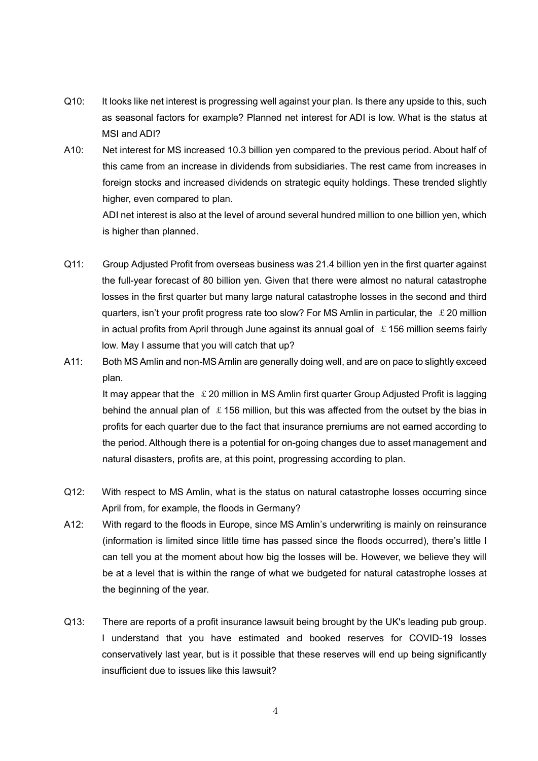- Q10: It looks like net interest is progressing well against your plan. Is there any upside to this, such as seasonal factors for example? Planned net interest for ADI is low. What is the status at MSI and ADI?
- A10: Net interest for MS increased 10.3 billion yen compared to the previous period. About half of this came from an increase in dividends from subsidiaries. The rest came from increases in foreign stocks and increased dividends on strategic equity holdings. These trended slightly higher, even compared to plan.

ADI net interest is also at the level of around several hundred million to one billion yen, which is higher than planned.

- Q11: Group Adjusted Profit from overseas business was 21.4 billion yen in the first quarter against the full-year forecast of 80 billion yen. Given that there were almost no natural catastrophe losses in the first quarter but many large natural catastrophe losses in the second and third quarters, isn't your profit progress rate too slow? For MS Amlin in particular, the  $\&$  20 million in actual profits from April through June against its annual goal of  $\pounds$  156 million seems fairly low. May I assume that you will catch that up?
- A11: Both MS Amlin and non-MS Amlin are generally doing well, and are on pace to slightly exceed plan.

It may appear that the  $\pounds$  20 million in MS Amlin first quarter Group Adjusted Profit is lagging behind the annual plan of  $\pounds$  156 million, but this was affected from the outset by the bias in profits for each quarter due to the fact that insurance premiums are not earned according to the period. Although there is a potential for on-going changes due to asset management and natural disasters, profits are, at this point, progressing according to plan.

- Q12: With respect to MS Amlin, what is the status on natural catastrophe losses occurring since April from, for example, the floods in Germany?
- A12: With regard to the floods in Europe, since MS Amlin's underwriting is mainly on reinsurance (information is limited since little time has passed since the floods occurred), there's little I can tell you at the moment about how big the losses will be. However, we believe they will be at a level that is within the range of what we budgeted for natural catastrophe losses at the beginning of the year.
- Q13: There are reports of a profit insurance lawsuit being brought by the UK's leading pub group. I understand that you have estimated and booked reserves for COVID-19 losses conservatively last year, but is it possible that these reserves will end up being significantly insufficient due to issues like this lawsuit?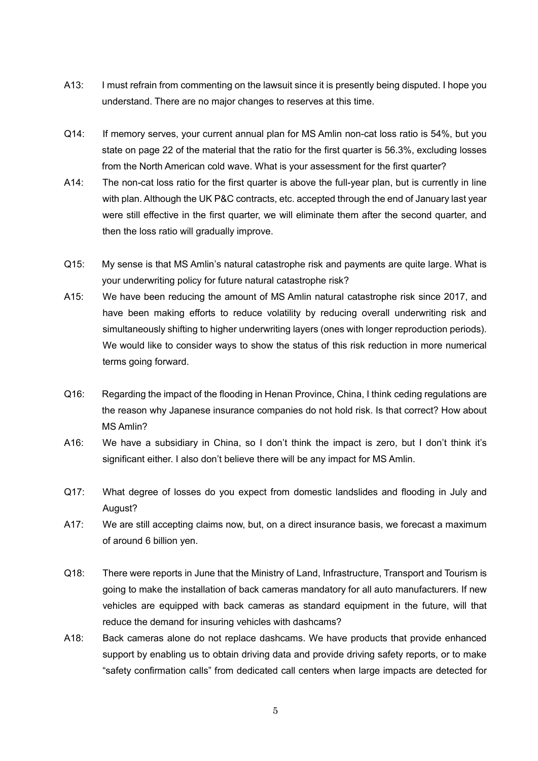- A13: I must refrain from commenting on the lawsuit since it is presently being disputed. I hope you understand. There are no major changes to reserves at this time.
- Q14: If memory serves, your current annual plan for MS Amlin non-cat loss ratio is 54%, but you state on page 22 of the material that the ratio for the first quarter is 56.3%, excluding losses from the North American cold wave. What is your assessment for the first quarter?
- A14: The non-cat loss ratio for the first quarter is above the full-year plan, but is currently in line with plan. Although the UK P&C contracts, etc. accepted through the end of January last year were still effective in the first quarter, we will eliminate them after the second quarter, and then the loss ratio will gradually improve.
- Q15: My sense is that MS Amlin's natural catastrophe risk and payments are quite large. What is your underwriting policy for future natural catastrophe risk?
- A15: We have been reducing the amount of MS Amlin natural catastrophe risk since 2017, and have been making efforts to reduce volatility by reducing overall underwriting risk and simultaneously shifting to higher underwriting layers (ones with longer reproduction periods). We would like to consider ways to show the status of this risk reduction in more numerical terms going forward.
- Q16: Regarding the impact of the flooding in Henan Province, China, I think ceding regulations are the reason why Japanese insurance companies do not hold risk. Is that correct? How about MS Amlin?
- A16: We have a subsidiary in China, so I don't think the impact is zero, but I don't think it's significant either. I also don't believe there will be any impact for MS Amlin.
- Q17: What degree of losses do you expect from domestic landslides and flooding in July and August?
- A17: We are still accepting claims now, but, on a direct insurance basis, we forecast a maximum of around 6 billion yen.
- Q18: There were reports in June that the Ministry of Land, Infrastructure, Transport and Tourism is going to make the installation of back cameras mandatory for all auto manufacturers. If new vehicles are equipped with back cameras as standard equipment in the future, will that reduce the demand for insuring vehicles with dashcams?
- A18: Back cameras alone do not replace dashcams. We have products that provide enhanced support by enabling us to obtain driving data and provide driving safety reports, or to make "safety confirmation calls" from dedicated call centers when large impacts are detected for